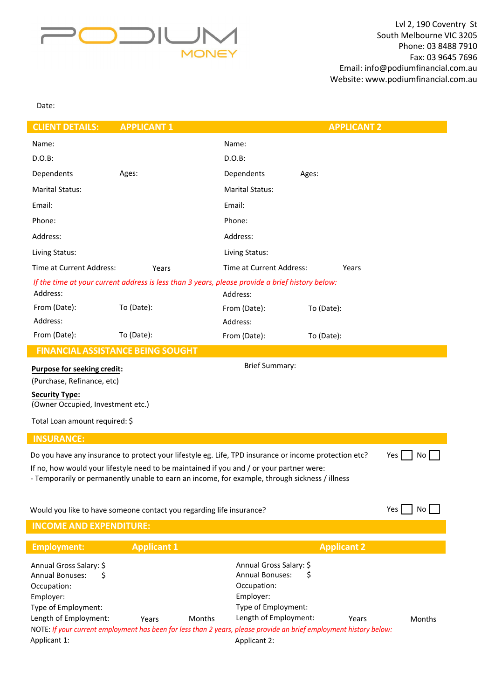

Date:

| <b>CLIENT DETAILS:</b>                                                                                               | <b>APPLICANT 1</b>                                                                                                                    |                                              | <b>APPLICANT 2</b> |        |  |  |  |  |
|----------------------------------------------------------------------------------------------------------------------|---------------------------------------------------------------------------------------------------------------------------------------|----------------------------------------------|--------------------|--------|--|--|--|--|
| Name:                                                                                                                |                                                                                                                                       | Name:                                        |                    |        |  |  |  |  |
| $D.O.B$ :                                                                                                            |                                                                                                                                       | $D.O.B$ :                                    |                    |        |  |  |  |  |
| Dependents                                                                                                           | Ages:                                                                                                                                 | Dependents                                   | Ages:              |        |  |  |  |  |
| <b>Marital Status:</b>                                                                                               |                                                                                                                                       | <b>Marital Status:</b>                       |                    |        |  |  |  |  |
| Email:                                                                                                               |                                                                                                                                       | Email:                                       |                    |        |  |  |  |  |
| Phone:                                                                                                               |                                                                                                                                       | Phone:                                       |                    |        |  |  |  |  |
| Address:                                                                                                             |                                                                                                                                       | Address:                                     |                    |        |  |  |  |  |
| Living Status:                                                                                                       |                                                                                                                                       | Living Status:                               |                    |        |  |  |  |  |
| Time at Current Address:                                                                                             | Years                                                                                                                                 | Time at Current Address:                     | Years              |        |  |  |  |  |
|                                                                                                                      | If the time at your current address is less than 3 years, please provide a brief history below:                                       |                                              |                    |        |  |  |  |  |
| Address:                                                                                                             |                                                                                                                                       | Address:                                     |                    |        |  |  |  |  |
| From (Date):                                                                                                         | To (Date):                                                                                                                            | From (Date):                                 | To (Date):         |        |  |  |  |  |
| Address:                                                                                                             |                                                                                                                                       | Address:                                     |                    |        |  |  |  |  |
| From (Date):                                                                                                         | To (Date):                                                                                                                            | From (Date):                                 | To (Date):         |        |  |  |  |  |
| <b>FINANCIAL ASSISTANCE BEING SOUGHT</b>                                                                             |                                                                                                                                       |                                              |                    |        |  |  |  |  |
| <b>Brief Summary:</b><br>Purpose for seeking credit:                                                                 |                                                                                                                                       |                                              |                    |        |  |  |  |  |
| (Purchase, Refinance, etc)                                                                                           |                                                                                                                                       |                                              |                    |        |  |  |  |  |
| <b>Security Type:</b>                                                                                                |                                                                                                                                       |                                              |                    |        |  |  |  |  |
| (Owner Occupied, Investment etc.)                                                                                    |                                                                                                                                       |                                              |                    |        |  |  |  |  |
| Total Loan amount required: \$                                                                                       |                                                                                                                                       |                                              |                    |        |  |  |  |  |
| <b>INSURANCE:</b>                                                                                                    |                                                                                                                                       |                                              |                    |        |  |  |  |  |
| Do you have any insurance to protect your lifestyle eg. Life, TPD insurance or income protection etc?<br>No<br>Yes I |                                                                                                                                       |                                              |                    |        |  |  |  |  |
| If no, how would your lifestyle need to be maintained if you and / or your partner were:                             |                                                                                                                                       |                                              |                    |        |  |  |  |  |
| - Temporarily or permanently unable to earn an income, for example, through sickness / illness                       |                                                                                                                                       |                                              |                    |        |  |  |  |  |
|                                                                                                                      |                                                                                                                                       |                                              |                    |        |  |  |  |  |
| Yes I<br>No<br>Would you like to have someone contact you regarding life insurance?                                  |                                                                                                                                       |                                              |                    |        |  |  |  |  |
| <b>INCOME AND EXPENDITURE:</b>                                                                                       |                                                                                                                                       |                                              |                    |        |  |  |  |  |
| <b>Employment:</b>                                                                                                   | <b>Applicant 1</b>                                                                                                                    |                                              | <b>Applicant 2</b> |        |  |  |  |  |
| Annual Gross Salary: \$                                                                                              |                                                                                                                                       | Annual Gross Salary: \$                      |                    |        |  |  |  |  |
| <b>Annual Bonuses:</b><br>S                                                                                          |                                                                                                                                       | <b>Annual Bonuses:</b>                       | S                  |        |  |  |  |  |
| Occupation:                                                                                                          |                                                                                                                                       | Occupation:                                  |                    |        |  |  |  |  |
| Employer:                                                                                                            |                                                                                                                                       | Employer:                                    |                    |        |  |  |  |  |
| Type of Employment:                                                                                                  |                                                                                                                                       | Type of Employment:<br>Length of Employment: |                    |        |  |  |  |  |
| Length of Employment:                                                                                                | Months<br>Years<br>NOTE: If your current employment has been for less than 2 years, please provide an brief employment history below: |                                              | Years              | Months |  |  |  |  |
| Applicant 1:                                                                                                         |                                                                                                                                       | Applicant 2:                                 |                    |        |  |  |  |  |